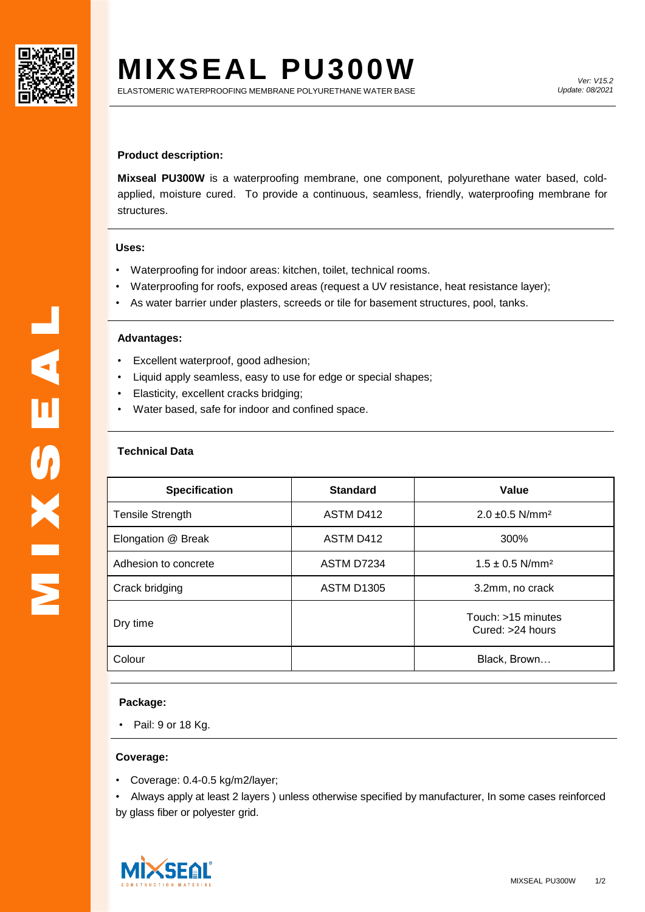

# **MIXSEAL PU300W**

## **Product description:**

**Mixseal PU300W** is a waterproofing membrane, one component, polyurethane water based, coldapplied, moisture cured. To provide a continuous, seamless, friendly, waterproofing membrane for structures.

## **Uses:**

- Waterproofing for indoor areas: kitchen, toilet, technical rooms.
- Waterproofing for roofs, exposed areas (request a UV resistance, heat resistance layer);
- As water barrier under plasters, screeds or tile for basement structures, pool, tanks.

### **Advantages:**

- Excellent waterproof, good adhesion;
- Liquid apply seamless, easy to use for edge or special shapes;
- Elasticity, excellent cracks bridging;
- Water based, safe for indoor and confined space.

# **Technical Data**

| <b>Specification</b>    | <b>Standard</b>   | Value                                    |
|-------------------------|-------------------|------------------------------------------|
| <b>Tensile Strength</b> | ASTM D412         | $2.0 \pm 0.5$ N/mm <sup>2</sup>          |
| Elongation @ Break      | ASTM D412         | 300%                                     |
| Adhesion to concrete    | ASTM D7234        | $1.5 \pm 0.5$ N/mm <sup>2</sup>          |
| Crack bridging          | <b>ASTM D1305</b> | 3.2mm, no crack                          |
| Dry time                |                   | Touch: >15 minutes<br>Cured: $>24$ hours |
| Colour                  |                   | Black, Brown                             |

## **Package:**

• Pail: 9 or 18 Kg.

#### **Coverage:**

• Coverage: 0.4-0.5 kg/m2/layer;

• Always apply at least 2 layers ) unless otherwise specified by manufacturer, In some cases reinforced by glass fiber or polyester grid.